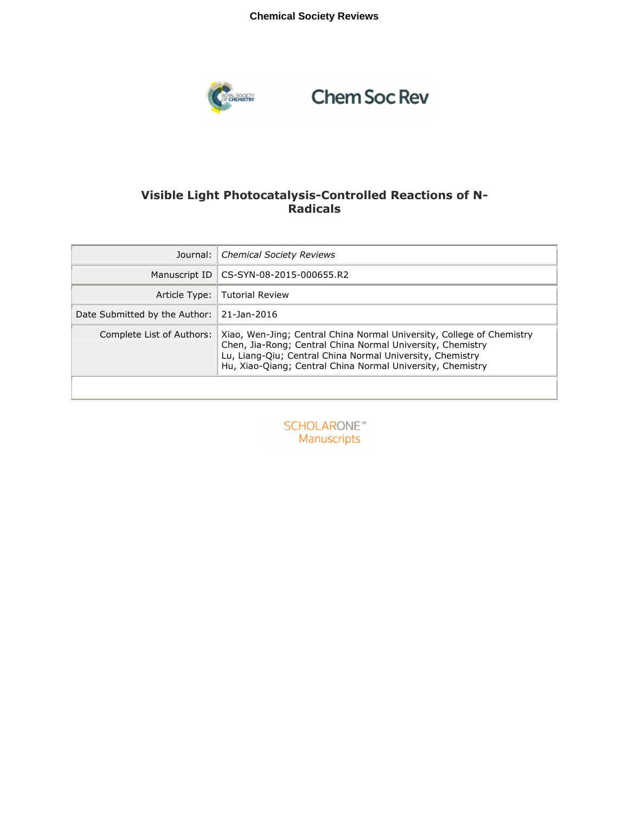### **Chemical Society Reviews**



# **Chem Soc Rev**

### **Visible Light Photocatalysis-Controlled Reactions of N-Radicals**

| Journal:                      | <b>Chemical Society Reviews</b>                                                                                                                                                                                                                                |
|-------------------------------|----------------------------------------------------------------------------------------------------------------------------------------------------------------------------------------------------------------------------------------------------------------|
| Manuscript ID                 | CS-SYN-08-2015-000655.R2                                                                                                                                                                                                                                       |
|                               | Article Type:   Tutorial Review                                                                                                                                                                                                                                |
| Date Submitted by the Author: | 21-Jan-2016                                                                                                                                                                                                                                                    |
| Complete List of Authors:     | Xiao, Wen-Jing; Central China Normal University, College of Chemistry<br>Chen, Jia-Rong; Central China Normal University, Chemistry<br>Lu, Liang-Qiu; Central China Normal University, Chemistry<br>Hu, Xiao-Qiang; Central China Normal University, Chemistry |

**SCHOLARONE™** Manuscripts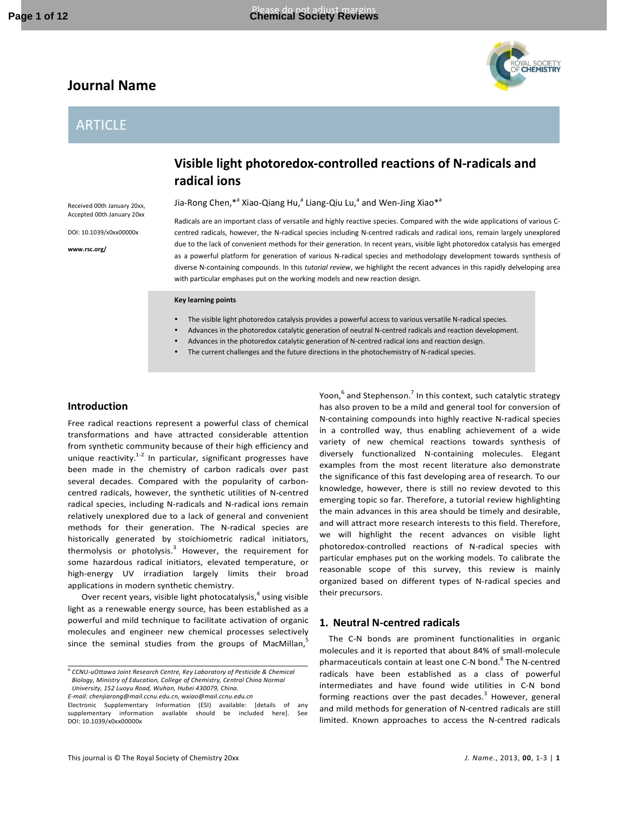## **Journal Name**

### ARTICLE



Jia-Rong Chen,\*<sup>a</sup> Xiao-Qiang Hu,<sup>a</sup> Liang-Qiu Lu,<sup>a</sup> and Wen-Jing Xiao\*<sup>a</sup>

Received 00th January 20xx, Accepted 00th January 20xx

DOI: 10.1039/x0xx00000x

**www.rsc.org/** 

Radicals are an important class of versatile and highly reactive species. Compared with the wide applications of various Ccentred radicals, however, the N-radical species including N-centred radicals and radical ions, remain largely unexplored due to the lack of convenient methods for their generation. In recent years, visible light photoredox catalysis has emerged as a powerful platform for generation of various N-radical species and methodology development towards synthesis of diverse N-containing compounds. In this *tutorial review*, we highlight the recent advances in this rapidly delveloping area with particular emphases put on the working models and new reaction design.

#### **Key learning points**

- The visible light photoredox catalysis provides a powerful access to various versatile N-radical species.
- Advances in the photoredox catalytic generation of neutral N-centred radicals and reaction development.
- Advances in the photoredox catalytic generation of N-centred radical ions and reaction design.
	- The current challenges and the future directions in the photochemistry of N-radical species.

### **Introduction**

Free radical reactions represent a powerful class of chemical transformations and have attracted considerable attention from synthetic community because of their high efficiency and unique reactivity. $1-2$  In particular, significant progresses have been made in the chemistry of carbon radicals over past several decades. Compared with the popularity of carboncentred radicals, however, the synthetic utilities of N-centred radical species, including N-radicals and N-radical ions remain relatively unexplored due to a lack of general and convenient methods for their generation. The N-radical species are historically generated by stoichiometric radical initiators, thermolysis or photolysis.<sup>3</sup> However, the requirement for some hazardous radical initiators, elevated temperature, or high-energy UV irradiation largely limits their broad applications in modern synthetic chemistry.

Over recent years, visible light photocatalysis, $^4$  using visible light as a renewable energy source, has been established as a powerful and mild technique to facilitate activation of organic molecules and engineer new chemical processes selectively since the seminal studies from the groups of MacMillan, $\overline{s}$ 

*E-mail: chenjiarong@mail.ccnu.edu.cn, wxiao@mail.ccnu.edu.cn* 

Yoon,  $^6$  and Stephenson.<sup>7</sup> In this context, such catalytic strategy has also proven to be a mild and general tool for conversion of N-containing compounds into highly reactive N-radical species in a controlled way, thus enabling achievement of a wide variety of new chemical reactions towards synthesis of diversely functionalized N-containing molecules. Elegant examples from the most recent literature also demonstrate the significance of this fast developing area of research. To our knowledge, however, there is still no review devoted to this emerging topic so far. Therefore, a tutorial review highlighting the main advances in this area should be timely and desirable, and will attract more research interests to this field. Therefore, we will highlight the recent advances on visible light photoredox-controlled reactions of N-radical species with particular emphases put on the working models. To calibrate the reasonable scope of this survey, this review is mainly organized based on different types of N-radical species and their precursors.

#### **1. Neutral N-centred radicals**

The C-N bonds are prominent functionalities in organic molecules and it is reported that about 84% of small-molecule pharmaceuticals contain at least one C-N bond.<sup>8</sup> The N-centred radicals have been established as a class of powerful intermediates and have found wide utilities in C-N bond forming reactions over the past decades.<sup>3</sup> However, general and mild methods for generation of N-centred radicals are still limited. Known approaches to access the N-centred radicals

*a.CCNU-uOttawa Joint Research Centre, Key Laboratory of Pesticide & Chemical Biology, Ministry of Education, College of Chemistry, Central China Normal University, 152 Luoyu Road, Wuhan, Hubei 430079, China.* 

Electronic Supplementary Information (ESI) available: [details of any supplementary information available should be included here]. See DOI: 10.1039/x0xx00000x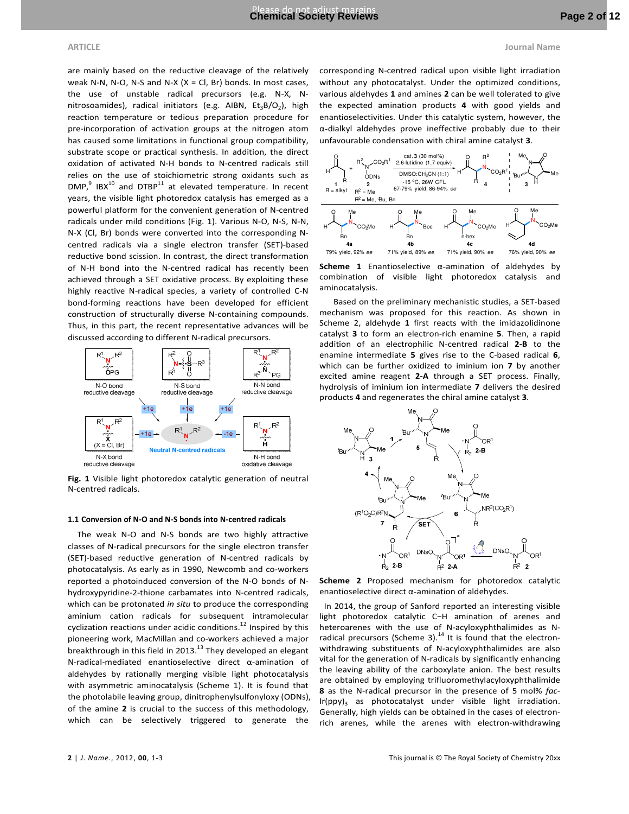are mainly based on the reductive cleavage of the relatively weak N-N, N-O, N-S and N-X  $(X = CL, Br)$  bonds. In most cases, the use of unstable radical precursors (e.g. N-X, Nnitrosoamides), radical initiators (e.g. AIBN, Et<sub>3</sub>B/O<sub>2</sub>), high reaction temperature or tedious preparation procedure for pre-incorporation of activation groups at the nitrogen atom has caused some limitations in functional group compatibility, substrate scope or practical synthesis. In addition, the direct oxidation of activated N-H bonds to N-centred radicals still relies on the use of stoichiometric strong oxidants such as  $\textsf{DMP}^9$  IBX<sup>10</sup> and DTBP<sup>11</sup> at elevated temperature. In recent years, the visible light photoredox catalysis has emerged as a powerful platform for the convenient generation of N-centred radicals under mild conditions (Fig. 1). Various N-O, N-S, N-N, N-X (Cl, Br) bonds were converted into the corresponding Ncentred radicals via a single electron transfer (SET)-based reductive bond scission. In contrast, the direct transformation of N-H bond into the N-centred radical has recently been achieved through a SET oxidative process. By exploiting these highly reactive N-radical species, a variety of controlled C-N bond-forming reactions have been developed for efficient construction of structurally diverse N-containing compounds. Thus, in this part, the recent representative advances will be discussed according to different N-radical precursors.



**Fig. 1** Visible light photoredox catalytic generation of neutral N-centred radicals.

#### **1.1 Conversion of N-O and N-S bonds into N-centred radicals**

The weak N-O and N-S bonds are two highly attractive classes of N-radical precursors for the single electron transfer (SET)-based reductive generation of N-centred radicals by photocatalysis. As early as in 1990, Newcomb and co-workers reported a photoinduced conversion of the N-O bonds of Nhydroxypyridine-2-thione carbamates into N-centred radicals, which can be protonated *in situ* to produce the corresponding aminium cation radicals for subsequent intramolecular cyclization reactions under acidic conditions. $^{12}$  Inspired by this pioneering work, MacMillan and co-workers achieved a major breakthrough in this field in 2013.<sup>13</sup> They developed an elegant N-radical-mediated enantioselective direct α-amination of aldehydes by rationally merging visible light photocatalysis with asymmetric aminocatalysis (Scheme 1). It is found that the photolabile leaving group, dinitrophenylsulfonyloxy (ODNs), of the amine **2** is crucial to the success of this methodology, which can be selectively triggered to generate the

corresponding N-centred radical upon visible light irradiation without any photocatalyst. Under the optimized conditions, various aldehydes **1** and amines **2** can be well tolerated to give the expected amination products **4** with good yields and enantioselectivities. Under this catalytic system, however, the α-dialkyl aldehydes prove ineffective probably due to their unfavourable condensation with chiral amine catalyst **3**.



**Scheme 1** Enantioselective α-amination of aldehydes by combination of visible light photoredox catalysis and aminocatalysis.

Based on the preliminary mechanistic studies, a SET-based mechanism was proposed for this reaction. As shown in Scheme 2, aldehyde **1** first reacts with the imidazolidinone catalyst **3** to form an electron-rich enamine **5**. Then, a rapid addition of an electrophilic N-centred radical **2-B** to the enamine intermediate **5** gives rise to the C-based radical **6**, which can be further oxidized to iminium ion **7** by another excited amine reagent **2-A** through a SET process. Finally, hydrolysis of iminium ion intermediate **7** delivers the desired products **4** and regenerates the chiral amine catalyst **3**.



**Scheme 2** Proposed mechanism for photoredox catalytic enantioselective direct α-amination of aldehydes.

In 2014, the group of Sanford reported an interesting visible light photoredox catalytic C−H amination of arenes and heteroarenes with the use of N-acyloxyphthalimides as Nradical precursors (Scheme 3).<sup>14</sup> It is found that the electronwithdrawing substituents of N-acyloxyphthalimides are also vital for the generation of N-radicals by significantly enhancing the leaving ability of the carboxylate anion. The best results are obtained by employing trifluoromethylacyloxyphthalimide **8** as the N-radical precursor in the presence of 5 mol% *fac*- $Ir(ppy)_3$  as photocatalyst under visible light irradiation. Generally, high yields can be obtained in the cases of electronrich arenes, while the arenes with electron-withdrawing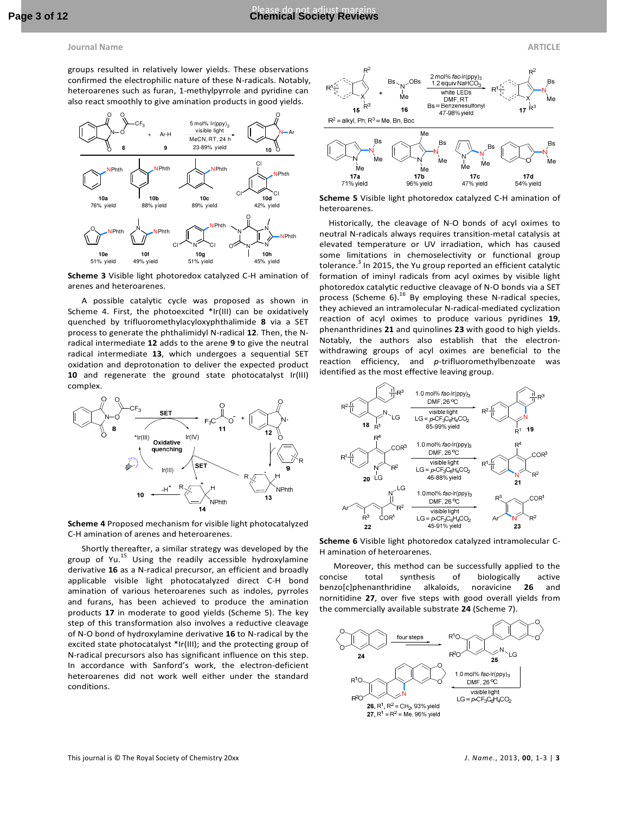groups resulted in relatively lower yields. These observations confirmed the electrophilic nature of these N-radicals. Notably, heteroarenes such as furan, 1-methylpyrrole and pyridine can also react smoothly to give amination products in good yields.



**Scheme 3** Visible light photoredox catalyzed C-H amination of arenes and heteroarenes.

A possible catalytic cycle was proposed as shown in Scheme 4. First, the photoexcited \*Ir(III) can be oxidatively quenched by trifluoromethylacyloxyphthalimide **8** via a SET process to generate the phthalimidyl N-radical **12**. Then, the Nradical intermediate **12** adds to the arene **9** to give the neutral radical intermediate **13**, which undergoes a sequential SET oxidation and deprotonation to deliver the expected product **10** and regenerate the ground state photocatalyst Ir(III) complex.



**Scheme 4** Proposed mechanism for visible light photocatalyzed C-H amination of arenes and heteroarenes.

Shortly thereafter, a similar strategy was developed by the group of Yu. $^{15}$  Using the readily accessible hydroxylamine derivative **16** as a N-radical precursor, an efficient and broadly applicable visible light photocatalyzed direct C-H bond amination of various heteroarenes such as indoles, pyrroles and furans, has been achieved to produce the amination products **17** in moderate to good yields (Scheme 5). The key step of this transformation also involves a reductive cleavage of N-O bond of hydroxylamine derivative **16** to N-radical by the excited state photocatalyst \*Ir(III); and the protecting group of N-radical precursors also has significant influence on this step. In accordance with Sanford's work, the electron-deficient heteroarenes did not work well either under the standard conditions.



**Scheme 5** Visible light photoredox catalyzed C-H amination of heteroarenes.

Historically, the cleavage of N-O bonds of acyl oximes to neutral N-radicals always requires transition-metal catalysis at elevated temperature or UV irradiation, which has caused some limitations in chemoselectivity or functional group tolerance.<sup>3</sup> In 2015, the Yu group reported an efficient catalytic formation of iminyl radicals from acyl oximes by visible light photoredox catalytic reductive cleavage of N-O bonds via a SET process (Scheme 6). $^{16}$  By employing these N-radical species, they achieved an intramolecular N-radical-mediated cyclization reaction of acyl oximes to produce various pyridines **19**, phenanthridines **21** and quinolines **23** with good to high yields. Notably, the authors also establish that the electronwithdrawing groups of acyl oximes are beneficial to the reaction efficiency, and *p*-trifluoromethylbenzoate was identified as the most effective leaving group.



**Scheme 6** Visible light photoredox catalyzed intramolecular C-H amination of heteroarenes.

Moreover, this method can be successfully applied to the concise total synthesis of biologically active benzo[c]phenanthridine alkaloids, noravicine **26** and nornitidine **27**, over five steps with good overall yields from the commercially available substrate **24** (Scheme 7).

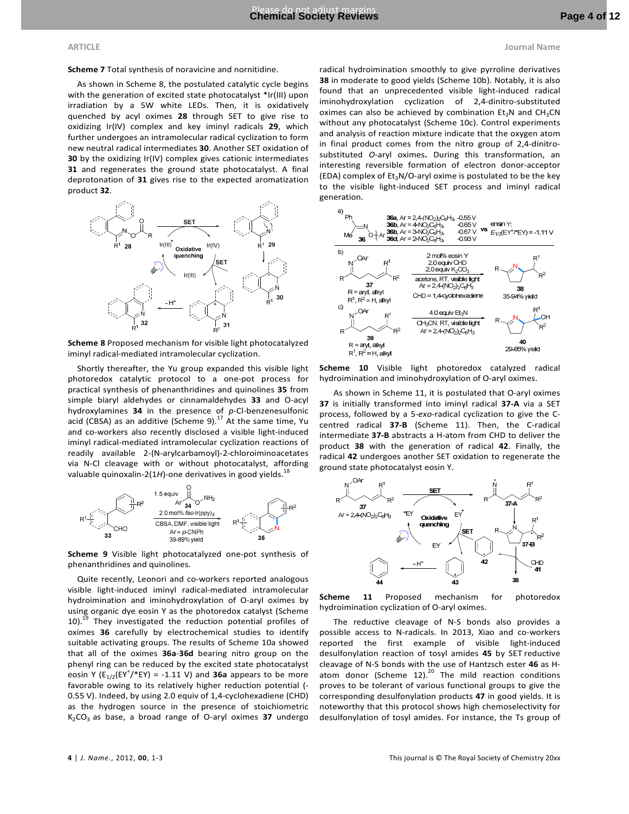**Scheme 7** Total synthesis of noravicine and nornitidine.

As shown in Scheme 8, the postulated catalytic cycle begins with the generation of excited state photocatalyst \*Ir(III) upon irradiation by a 5W white LEDs. Then, it is oxidatively quenched by acyl oximes **28** through SET to give rise to oxidizing Ir(IV) complex and key iminyl radicals **29**, which further undergoes an intramolecular radical cyclization to form new neutral radical intermediates **30**. Another SET oxidation of **30** by the oxidizing Ir(IV) complex gives cationic intermediates **31** and regenerates the ground state photocatalyst. A final deprotonation of **31** gives rise to the expected aromatization product **32**.



**Scheme 8** Proposed mechanism for visible light photocatalyzed iminyl radical-mediated intramolecular cyclization.

Shortly thereafter, the Yu group expanded this visible light photoredox catalytic protocol to a one-pot process for practical synthesis of phenanthridines and quinolines **35** from simple biaryl aldehydes or cinnamaldehydes **33** and O-acyl hydroxylamines **34** in the presence of *p*-Cl-benzenesulfonic acid (CBSA) as an additive (Scheme 9). $^{17}$  At the same time, Yu and co-workers also recently disclosed a visible light-induced iminyl radical-mediated intramolecular cyclization reactions of readily available 2-(N-arylcarbamoyl)-2-chloroiminoacetates via N-Cl cleavage with or without photocatalyst, affording valuable quinoxalin-2(1H)-one derivatives in good yields.<sup>18</sup>



**Scheme 9** Visible light photocatalyzed one-pot synthesis of phenanthridines and quinolines.

Quite recently, Leonori and co-workers reported analogous visible light-induced iminyl radical-mediated intramolecular hydroimination and iminohydroxylation of O-aryl oximes by using organic dye eosin Y as the photoredox catalyst (Scheme  $10$ ).<sup>19</sup> They investigated the reduction potential profiles of oximes **36** carefully by electrochemical studies to identify suitable activating groups. The results of Scheme 10a showed that all of the oximes **36a**-**36d** bearing nitro group on the phenyl ring can be reduced by the excited state photocatalyst eosin Y  $(E_{1/2}(EY^{\dagger}/EY)) = -1.11$  V) and **36a** appears to be more favorable owing to its relatively higher reduction potential (- 0.55 V). Indeed, by using 2.0 equiv of 1,4-cyclohexadiene (CHD) as the hydrogen source in the presence of stoichiometric K<sub>2</sub>CO<sub>3</sub> as base, a broad range of O-aryl oximes 37 undergo

radical hydroimination smoothly to give pyrroline derivatives **38** in moderate to good yields (Scheme 10b). Notably, it is also found that an unprecedented visible light-induced radical iminohydroxylation cyclization of 2,4-dinitro-substituted oximes can also be achieved by combination  $Et_3N$  and  $CH_3CN$ without any photocatalyst (Scheme 10c). Control experiments and analysis of reaction mixture indicate that the oxygen atom in final product comes from the nitro group of 2,4-dinitrosubstituted *O*-aryl oximes**.** During this transformation, an interesting reversible formation of electron donor-acceptor (EDA) complex of  $Et_3N/O$ -aryl oxime is postulated to be the key to the visible light-induced SET process and iminyl radical generation.



**Scheme 10** Visible light photoredox catalyzed radical hydroimination and iminohydroxylation of O-aryl oximes.

As shown in Scheme 11, it is postulated that O-aryl oximes **37** is initially transformed into iminyl radical **37-A** via a SET process, followed by a 5-*exo*-radical cyclization to give the Ccentred radical **37-B** (Scheme 11). Then, the C-radical intermediate **37-B** abstracts a H-atom from CHD to deliver the product **38** with the generation of radical **42**. Finally, the radical **42** undergoes another SET oxidation to regenerate the ground state photocatalyst eosin Y.



**Scheme 11** Proposed mechanism for photoredox hydroimination cyclization of O-aryl oximes.

The reductive cleavage of N-S bonds also provides a possible access to N-radicals. In 2013, Xiao and co-workers reported the first example of visible light-induced desulfonylation reaction of tosyl amides **45** by SET reductive cleavage of N-S bonds with the use of Hantzsch ester **46** as Hatom donor (Scheme 12). $^{20}$  The mild reaction conditions proves to be tolerant of various functional groups to give the corresponding desulfonylation products **47** in good yields. It is noteworthy that this protocol shows high chemoselectivity for desulfonylation of tosyl amides. For instance, the Ts group of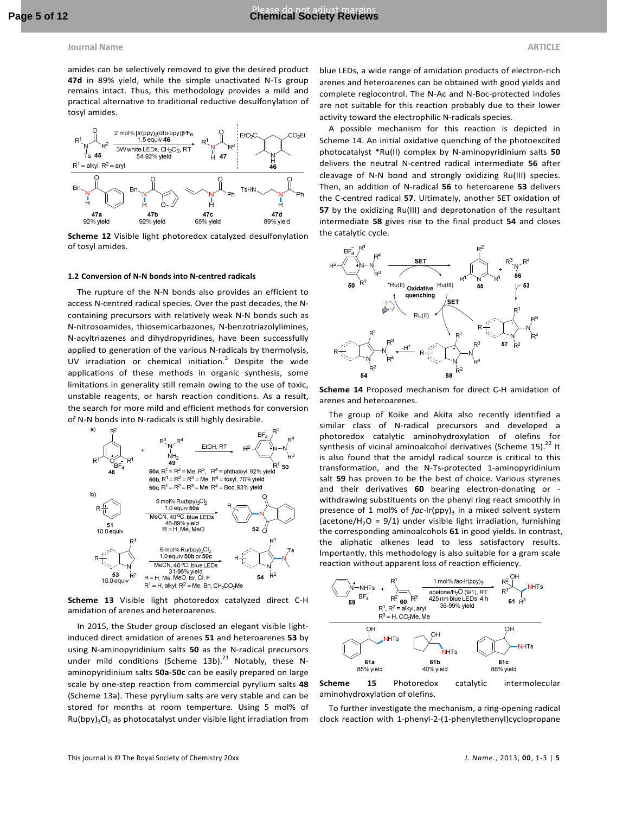amides can be selectively removed to give the desired product **47d** in 89% yield, while the simple unactivated N-Ts group remains intact. Thus, this methodology provides a mild and practical alternative to traditional reductive desulfonylation of tosyl amides.



**Scheme 12** Visible light photoredox catalyzed desulfonylation of tosyl amides.

#### **1.2 Conversion of N-N bonds into N-centred radicals**

The rupture of the N-N bonds also provides an efficient to access N-centred radical species. Over the past decades, the Ncontaining precursors with relatively weak N-N bonds such as N-nitrosoamides, thiosemicarbazones, N-benzotriazolylimines, N-acyltriazenes and dihydropyridines, have been successfully applied to generation of the various N-radicals by thermolysis, UV irradiation or chemical initiation.<sup>3</sup> Despite the wide applications of these methods in organic synthesis, some limitations in generality still remain owing to the use of toxic, unstable reagents, or harsh reaction conditions. As a result, the search for more mild and efficient methods for conversion of N-N bonds into N-radicals is still highly desirable.



**Scheme 13** Visible light photoredox catalyzed direct C-H amidation of arenes and heteroarenes.

In 2015, the Studer group disclosed an elegant visible lightinduced direct amidation of arenes **51** and heteroarenes **53** by using N-aminopyridinium salts **50** as the N-radical precursors under mild conditions (Scheme 13b). $^{21}$  Notably, these Naminopyridinium salts **50a**-**50c** can be easily prepared on large scale by one-step reaction from commercial pyrylium salts **48**  (Scheme 13a). These pyrylium salts are very stable and can be stored for months at room temperture. Using 5 mol% of  $Ru(bpy)_3Cl_2$  as photocatalyst under visible light irradiation from

blue LEDs, a wide range of amidation products of electron-rich arenes and heteroarenes can be obtained with good yields and complete regiocontrol. The N-Ac and N-Boc-protected indoles are not suitable for this reaction probably due to their lower activity toward the electrophilic N-radicals species.

A possible mechanism for this reaction is depicted in Scheme 14. An initial oxidative quenching of the photoexcited photocatalyst \*Ru(II) complex by N-aminopyridinium salts **50** delivers the neutral N-centred radical intermediate **56** after cleavage of N-N bond and strongly oxidizing Ru(III) species. Then, an addition of N-radical **56** to heteroarene **53** delivers the C-centred radical **57**. Ultimately, another SET oxidation of **57** by the oxidizing Ru(III) and deprotonation of the resultant intermediate **58** gives rise to the final product **54** and closes the catalytic cycle.



**Scheme 14** Proposed mechanism for direct C-H amidation of arenes and heteroarenes.

The group of Koike and Akita also recently identified a similar class of N-radical precursors and developed a photoredox catalytic aminohydroxylation of olefins for synthesis of vicinal aminoalcohol derivatives (Scheme 15). $^{22}$  It is also found that the amidyl radical source is critical to this transformation, and the N-Ts-protected 1-aminopyridinium salt **59** has proven to be the best of choice. Various styrenes and their derivatives **60** bearing electron-donating or withdrawing substituents on the phenyl ring react smoothly in presence of 1 mol% of fac-Ir(ppy)<sub>3</sub> in a mixed solvent system (acetone/H<sub>2</sub>O = 9/1) under visible light irradiation, furnishing the corresponding aminoalcohols **61** in good yields. In contrast, the aliphatic alkenes lead to less satisfactory results. Importantly, this methodology is also suitable for a gram scale reaction without apparent loss of reaction efficiency.



**Scheme 15** Photoredox catalytic intermolecular aminohydroxylation of olefins.

To further investigate the mechanism, a ring-opening radical clock reaction with 1-phenyl-2-(1-phenylethenyl)cyclopropane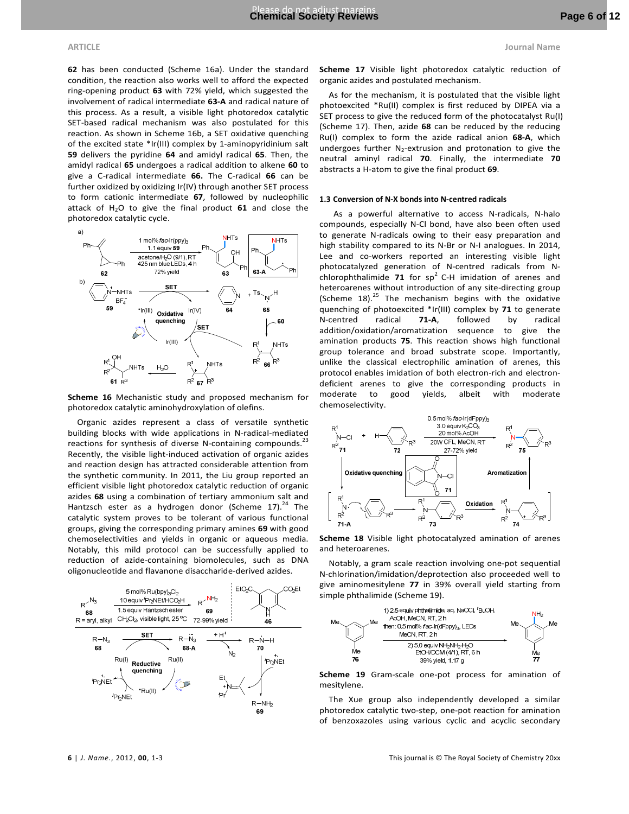**62** has been conducted (Scheme 16a). Under the standard condition, the reaction also works well to afford the expected ring-opening product **63** with 72% yield, which suggested the involvement of radical intermediate **63-A** and radical nature of this process. As a result, a visible light photoredox catalytic SET-based radical mechanism was also postulated for this reaction. As shown in Scheme 16b, a SET oxidative quenching of the excited state \*Ir(III) complex by 1-aminopyridinium salt **59** delivers the pyridine **64** and amidyl radical **65**. Then, the

amidyl radical **65** undergoes a radical addition to alkene **60** to give a C-radical intermediate **66.** The C-radical **66** can be further oxidized by oxidizing Ir(IV) through another SET process to form cationic intermediate **67**, followed by nucleophilic attack of H2O to give the final product **61** and close the photoredox catalytic cycle.



**Scheme 16** Mechanistic study and proposed mechanism for photoredox catalytic aminohydroxylation of olefins.

Organic azides represent a class of versatile synthetic building blocks with wide applications in N-radical-mediated reactions for synthesis of diverse N-containing compounds. $^{23}$ Recently, the visible light-induced activation of organic azides and reaction design has attracted considerable attention from the synthetic community. In 2011, the Liu group reported an efficient visible light photoredox catalytic reduction of organic azides **68** using a combination of tertiary ammonium salt and Hantzsch ester as a hydrogen donor (Scheme 17). $^{24}$  The catalytic system proves to be tolerant of various functional groups, giving the corresponding primary amines **69** with good chemoselectivities and yields in organic or aqueous media. Notably, this mild protocol can be successfully applied to reduction of azide-containing biomolecules, such as DNA oligonucleotide and flavanone disaccharide-derived azides.



**Scheme 17** Visible light photoredox catalytic reduction of organic azides and postulated mechanism.

As for the mechanism, it is postulated that the visible light photoexcited \*Ru(II) complex is first reduced by DIPEA via a SET process to give the reduced form of the photocatalyst Ru(I) (Scheme 17). Then, azide **68** can be reduced by the reducing Ru(I) complex to form the azide radical anion **68-A**, which undergoes further  $N_2$ -extrusion and protonation to give the neutral aminyl radical **70**. Finally, the intermediate **70** abstracts a H-atom to give the final product **69**.

#### **1.3 Conversion of N-X bonds into N-centred radicals**

As a powerful alternative to access N-radicals, N-halo compounds, especially N-Cl bond, have also been often used to generate N-radicals owing to their easy preparation and high stability compared to its N-Br or N-I analogues. In 2014, Lee and co-workers reported an interesting visible light photocatalyzed generation of N-centred radicals from Nchlorophthalimide  $71$  for sp<sup>2</sup> C-H imidation of arenes and heteroarenes without introduction of any site-directing group (Scheme 18).<sup>25</sup> The mechanism begins with the oxidative quenching of photoexcited \*Ir(III) complex by **71** to generate N-centred radical **71-A**, followed by radical addition/oxidation/aromatization sequence to give the amination products **75**. This reaction shows high functional group tolerance and broad substrate scope. Importantly, unlike the classical electrophilic amination of arenes, this protocol enables imidation of both electron-rich and electrondeficient arenes to give the corresponding products in moderate to good yields, albeit with moderate chemoselectivity.



**Scheme 18** Visible light photocatalyzed amination of arenes and heteroarenes.

Notably, a gram scale reaction involving one-pot sequential N-chlorination/imidation/deprotection also proceeded well to give aminomesitylene **77** in 39% overall yield starting from simple phthalimide (Scheme 19).



**Scheme 19** Gram-scale one-pot process for amination of mesitylene.

The Xue group also independently developed a similar photoredox catalytic two-step, one-pot reaction for amination of benzoxazoles using various cyclic and acyclic secondary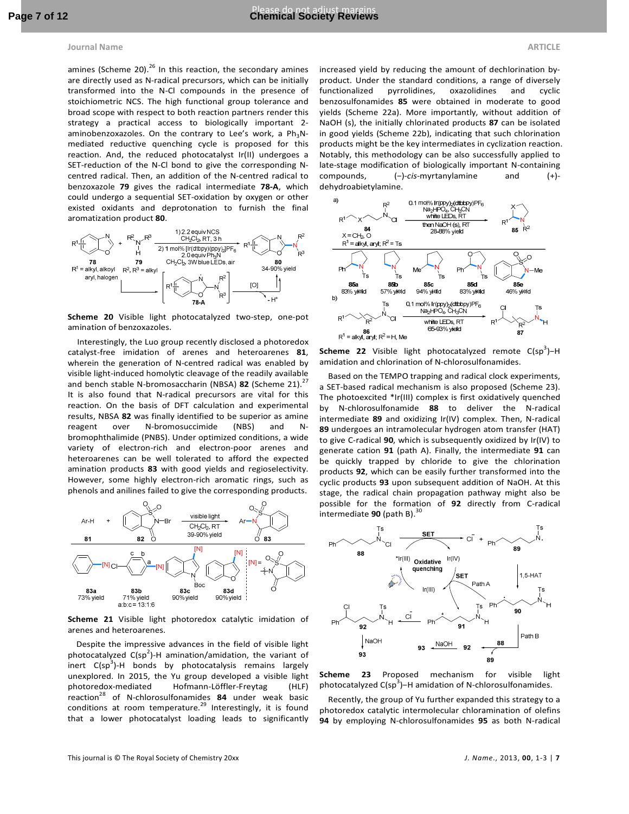amines (Scheme 20). $^{26}$  In this reaction, the secondary amines are directly used as N-radical precursors, which can be initially transformed into the N-Cl compounds in the presence of stoichiometric NCS. The high functional group tolerance and broad scope with respect to both reaction partners render this strategy a practical access to biologically important 2 aminobenzoxazoles. On the contrary to Lee's work, a  $Ph_3N$ mediated reductive quenching cycle is proposed for this reaction. And, the reduced photocatalyst Ir(II) undergoes a SET-reduction of the N-Cl bond to give the corresponding Ncentred radical. Then, an addition of the N-centred radical to benzoxazole **79** gives the radical intermediate **78-A**, which could undergo a sequential SET-oxidation by oxygen or other existed oxidants and deprotonation to furnish the final aromatization product **80**.



**Scheme 20** Visible light photocatalyzed two-step, one-pot amination of benzoxazoles.

Interestingly, the Luo group recently disclosed a photoredox catalyst-free imidation of arenes and heteroarenes **81**, wherein the generation of N-centred radical was enabled by visible light-induced homolytic cleavage of the readily available and bench stable N-bromosaccharin (NBSA) 82 (Scheme 21).<sup>27</sup> It is also found that N-radical precursors are vital for this reaction. On the basis of DFT calculation and experimental results, NBSA **82** was finally identified to be superior as amine reagent over N-bromosuccimide (NBS) and Nbromophthalimide (PNBS). Under optimized conditions, a wide variety of electron-rich and electron-poor arenes and heteroarenes can be well tolerated to afford the expected amination products **83** with good yields and regioselectivity. However, some highly electron-rich aromatic rings, such as phenols and anilines failed to give the corresponding products.



**Scheme 21** Visible light photoredox catalytic imidation of arenes and heteroarenes.

Despite the impressive advances in the field of visible light photocatalyzed  $C(sp^2)$ -H amination/amidation, the variant of .<br>inert C(sp<sup>3</sup>)-H bonds by photocatalysis remains largely unexplored. In 2015, the Yu group developed a visible light photoredox-mediated Hofmann-Löffler-Freytag (HLF) reaction<sup>28</sup> of N-chlorosulfonamides **84** under weak basic conditions at room temperature. $^{29}$  Interestingly, it is found that a lower photocatalyst loading leads to significantly

increased yield by reducing the amount of dechlorination byproduct. Under the standard conditions, a range of diversely functionalized pyrrolidines, oxazolidines and cyclic benzosulfonamides **85** were obtained in moderate to good yields (Scheme 22a). More importantly, without addition of NaOH (s), the initially chlorinated products **87** can be isolated in good yields (Scheme 22b), indicating that such chlorination products might be the key intermediates in cyclization reaction. Notably, this methodology can be also successfully applied to late-stage modification of biologically important N-containing compounds, (−)-*cis*-myrtanylamine and (+) dehydroabietylamine.



**Scheme 22** Visible light photocatalyzed remote C(sp<sup>3</sup>)-H amidation and chlorination of N-chlorosulfonamides.

Based on the TEMPO trapping and radical clock experiments, a SET-based radical mechanism is also proposed (Scheme 23). The photoexcited \*Ir(III) complex is first oxidatively quenched by N-chlorosulfonamide **88** to deliver the N-radical intermediate **89** and oxidizing Ir(IV) complex. Then, N-radical **89** undergoes an intramolecular hydrogen atom transfer (HAT) to give C-radical **90**, which is subsequently oxidized by Ir(IV) to generate cation **91** (path A). Finally, the intermediate **91** can be quickly trapped by chloride to give the chlorination products **92**, which can be easily further transformed into the cyclic products **93** upon subsequent addition of NaOH. At this stage, the radical chain propagation pathway might also be possible for the formation of **92** directly from C-radical .<br>intermediate **90** (path B).<sup>30</sup>



**Scheme 23** Proposed mechanism for visible light  $photocatalyzed C(sp<sup>3</sup>)$  – H amidation of N-chlorosulfonamides.

Recently, the group of Yu further expanded this strategy to a photoredox catalytic intermolecular chloramination of olefins **94** by employing N-chlorosulfonamides **95** as both N-radical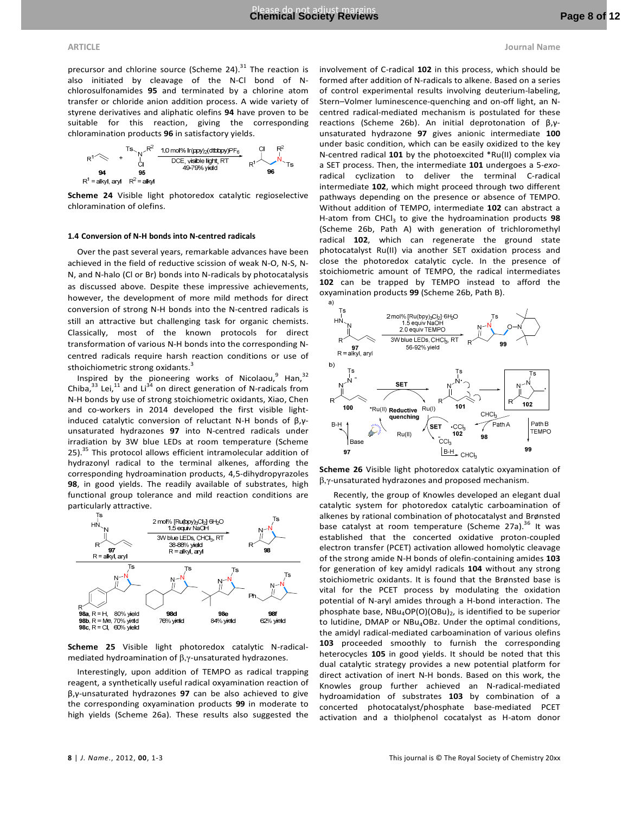precursor and chlorine source (Scheme 24). $31$  The reaction is also initiated by cleavage of the N-Cl bond of Nchlorosulfonamides **95** and terminated by a chlorine atom transfer or chloride anion addition process. A wide variety of styrene derivatives and aliphatic olefins **94** have proven to be suitable for this reaction, giving the corresponding chloramination products **96** in satisfactory yields.

$$
R^{1} \left(\begin{matrix} & & & & \text{TS} & & & \text{10 mol\% Ir(ppy)}_2(dtbbyp)PF_6 & & & & \text{C1} & & \text{R}^2 \\ & + & & & & & & & \text{DCE, visible light, RT} & & & & \text{R}^1 \\ & & & & & & & & & \text{DCE, visible light, RT} & & & & \text{R}^1 \\ & & & & & & & & & & \text{96} & & \text{96} & & \text{96} & & \text{97.5} \\ & & & & & & & & & & \text{98.5} & & \text{98.5} & & \text{99.5} & & \text{99.5} & & \text{90.5} & & \text{90.5} \\ & & & & & & & & & & & \text{90.5} & & \text{90.5} & & \text{90.5} & & \text{90.5} & & \text{90.5} & & \text{90.5} & & \text{90.5} & & \text{90.5} & & \text{90.5} & & \text{90.5} & & \text{90.5} & & \text{90.5} & & \text{90.5} & & \text{90.5} & & \text{90.5} & & \text{90.5} & & \text{90.5} & & \text{90.5} & & \text{90.5} & & \text{90.5} & & \text{90.5} & & \text{90.5} & & \text{90.5} & & \text{90.5} & & \text{90.5} & & \text{90.5} & & \text{90.5} & & \text{90.5} & & \text{90.5} & & \text{90.5} & & \text{90.5} & & \text{90.5} & & \text{90.5} & & \text{90.5} & & \text{90.5} & & \text{90.5} & & \text{90.5} & & \text{90.5} & & \text{90.5} & & \text{90.5} & & \text{90.5} & & \text{90.5} & & \text{90.5} & & \text{90.5} & & \text{90.5} & & \text{90.5} & & \text{90.5} & & \text{90.5} & & \text{90.5} & & \text{90.5} & & \text{90.5}
$$

**Scheme 24** Visible light photoredox catalytic regioselective chloramination of olefins.

#### **1.4 Conversion of N-H bonds into N-centred radicals**

Over the past several years, remarkable advances have been achieved in the field of reductive scission of weak N-O, N-S, N-N, and N-halo (Cl or Br) bonds into N-radicals by photocatalysis as discussed above. Despite these impressive achievements, however, the development of more mild methods for direct conversion of strong N-H bonds into the N-centred radicals is still an attractive but challenging task for organic chemists. Classically, most of the known protocols for direct transformation of various N-H bonds into the corresponding Ncentred radicals require harsh reaction conditions or use of sthoichiometric strong oxidants.<sup>3</sup>

Inspired by the pioneering works of Nicolaou, $9$  Han, $32$ Chiba,  $33$  Lei,  $11$  and Li<sup>34</sup> on direct generation of N-radicals from N-H bonds by use of strong stoichiometric oxidants, Xiao, Chen and co-workers in 2014 developed the first visible lightinduced catalytic conversion of reluctant N-H bonds of β,γunsaturated hydrazones **97** into N-centred radicals under irradiation by 3W blue LEDs at room temperature (Scheme 25).<sup>35</sup> This protocol allows efficient intramolecular addition of hydrazonyl radical to the terminal alkenes, affording the corresponding hydroamination products, 4,5-dihydropyrazoles **98**, in good yields. The readily available of substrates, high functional group tolerance and mild reaction conditions are particularly attractive.



**Scheme 25** Visible light photoredox catalytic N-radicalmediated hydroamination of β,γ-unsaturated hydrazones.

Interestingly, upon addition of TEMPO as radical trapping reagent, a synthetically useful radical oxyamination reaction of β,γ-unsaturated hydrazones **97** can be also achieved to give the corresponding oxyamination products **99** in moderate to high yields (Scheme 26a). These results also suggested the

involvement of C-radical **102** in this process, which should be formed after addition of N-radicals to alkene. Based on a series of control experimental results involving deuterium-labeling, Stern–Volmer luminescence-quenching and on-off light, an Ncentred radical-mediated mechanism is postulated for these reactions (Scheme 26b). An initial deprotonation of β,γunsaturated hydrazone **97** gives anionic intermediate **100** under basic condition, which can be easily oxidized to the key N-centred radical **101** by the photoexcited \*Ru(II) complex via a SET process. Then, the intermediate **101** undergoes a 5-*exo*radical cyclization to deliver the terminal C-radical intermediate **102**, which might proceed through two different pathways depending on the presence or absence of TEMPO. Without addition of TEMPO, intermediate **102** can abstract a H-atom from CHCl<sub>3</sub> to give the hydroamination products 98 (Scheme 26b, Path A) with generation of trichloromethyl radical **102**, which can regenerate the ground state photocatalyst Ru(II) via another SET oxidation process and close the photoredox catalytic cycle. In the presence of stoichiometric amount of TEMPO, the radical intermediates **102** can be trapped by TEMPO instead to afford the oxyamination products **99** (Scheme 26b, Path B).



**Scheme 26** Visible light photoredox catalytic oxyamination of β,γ-unsaturated hydrazones and proposed mechanism.

Recently, the group of Knowles developed an elegant dual catalytic system for photoredox catalytic carboamination of alkenes by rational combination of photocatalyst and Brønsted base catalyst at room temperature (Scheme 27a).<sup>36</sup> It was established that the concerted oxidative proton-coupled electron transfer (PCET) activation allowed homolytic cleavage of the strong amide N-H bonds of olefin-containing amides **103** for generation of key amidyl radicals **104** without any strong stoichiometric oxidants. It is found that the Brønsted base is vital for the PCET process by modulating the oxidation potential of N-aryl amides through a H-bond interaction. The phosphate base, NBu<sub>4</sub>OP(O)(OBu)<sub>2</sub>, is identified to be superior to lutidine, DMAP or NBu<sub>4</sub>OBz. Under the optimal conditions, the amidyl radical-mediated carboamination of various olefins **103** proceeded smoothly to furnish the corresponding heterocycles **105** in good yields. It should be noted that this dual catalytic strategy provides a new potential platform for direct activation of inert N-H bonds. Based on this work, the Knowles group further achieved an N-radical-mediated hydroamidation of substrates **103** by combination of a concerted photocatalyst/phosphate base-mediated PCET activation and a thiolphenol cocatalyst as H-atom donor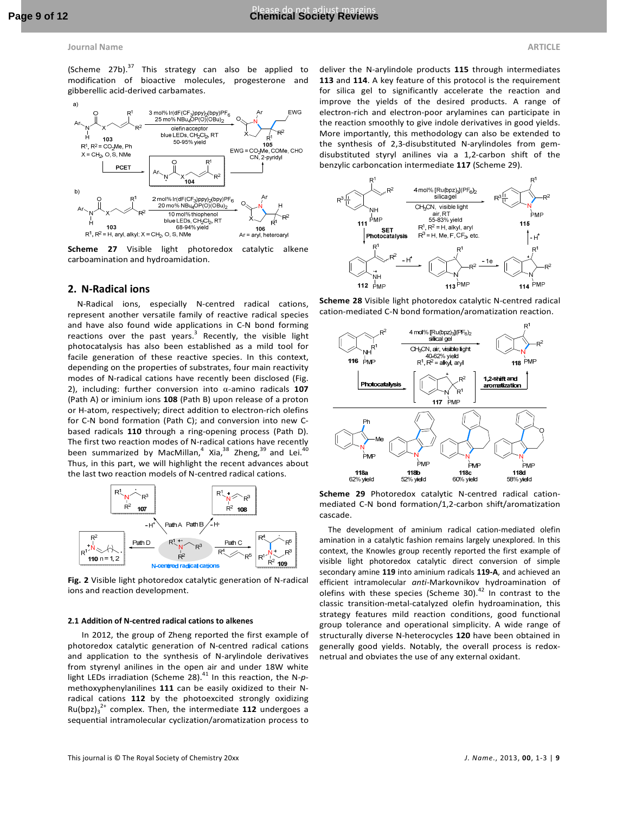(Scheme  $27b$ ).<sup>37</sup> This strategy can also be applied to modification of bioactive molecules, progesterone and gibberellic acid-derived carbamates.



**Scheme 27** Visible light photoredox catalytic alkene carboamination and hydroamidation.

#### **2. N-Radical ions**

N-Radical ions, especially N-centred radical cations, represent another versatile family of reactive radical species and have also found wide applications in C-N bond forming reactions over the past years.<sup>3</sup> Recently, the visible light photocatalysis has also been established as a mild tool for facile generation of these reactive species. In this context, depending on the properties of substrates, four main reactivity modes of N-radical cations have recently been disclosed (Fig. 2), including: further conversion into α-amino radicals **107** (Path A) or iminium ions **108** (Path B) upon release of a proton or H-atom, respectively; direct addition to electron-rich olefins for C-N bond formation (Path C); and conversion into new Cbased radicals **110** through a ring-opening process (Path D). The first two reaction modes of N-radical cations have recently been summarized by MacMillan,<sup>4</sup> Xia,<sup>38</sup> Zheng,<sup>39</sup> and Lei.<sup>40</sup> Thus, in this part, we will highlight the recent advances about the last two reaction models of N-centred radical cations.



**Fig. 2** Visible light photoredox catalytic generation of N-radical ions and reaction development.

#### **2.1 Addition of N-centred radical cations to alkenes**

In 2012, the group of Zheng reported the first example of photoredox catalytic generation of N-centred radical cations and application to the synthesis of N-arylindole derivatives from styrenyl anilines in the open air and under 18W white light LEDs irradiation (Scheme 28).<sup>41</sup> In this reaction, the N-pmethoxyphenylanilines **111** can be easily oxidized to their Nradical cations **112** by the photoexcited strongly oxidizing Ru(bpz)<sup>3</sup> 2+ complex. Then, the intermediate **112** undergoes a sequential intramolecular cyclization/aromatization process to

deliver the N-arylindole products **115** through intermediates **113** and **114**. A key feature of this protocol is the requirement for silica gel to significantly accelerate the reaction and improve the yields of the desired products. A range of electron-rich and electron-poor arylamines can participate in the reaction smoothly to give indole derivatives in good yields. More importantly, this methodology can also be extended to the synthesis of 2,3-disubstituted N-arylindoles from gemdisubstituted styryl anilines via a 1,2-carbon shift of the benzylic carboncation intermediate **117** (Scheme 29).



**Scheme 28** Visible light photoredox catalytic N-centred radical cation-mediated C-N bond formation/aromatization reaction.



**Scheme 29** Photoredox catalytic N-centred radical cationmediated C-N bond formation/1,2-carbon shift/aromatization cascade.

The development of aminium radical cation-mediated olefin amination in a catalytic fashion remains largely unexplored. In this context, the Knowles group recently reported the first example of visible light photoredox catalytic direct conversion of simple secondary amine **119** into aminium radicals **119-A**, and achieved an efficient intramolecular *anti*-Markovnikov hydroamination of olefins with these species (Scheme 30). $42$  In contrast to the classic transition-metal-catalyzed olefin hydroamination, this strategy features mild reaction conditions, good functional group tolerance and operational simplicity. A wide range of structurally diverse N-heterocycles **120** have been obtained in generally good yields. Notably, the overall process is redoxnetrual and obviates the use of any external oxidant.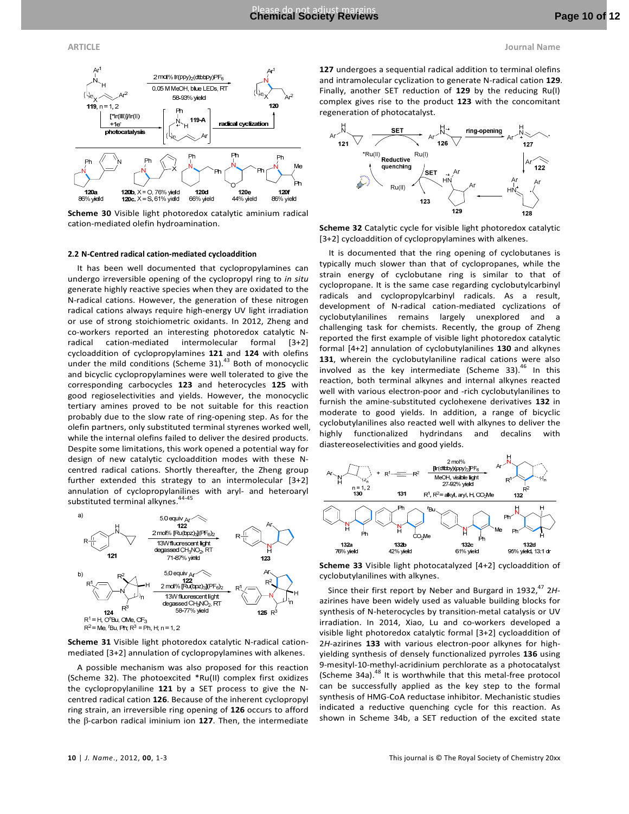

**Scheme 30** Visible light photoredox catalytic aminium radical cation-mediated olefin hydroamination.

#### **2.2 N-Centred radical cation-mediated cycloaddition**

It has been well documented that cyclopropylamines can undergo irreversible opening of the cyclopropyl ring to *in situ* generate highly reactive species when they are oxidated to the N-radical cations. However, the generation of these nitrogen radical cations always require high-energy UV light irradiation or use of strong stoichiometric oxidants. In 2012, Zheng and co-workers reported an interesting photoredox catalytic Nradical cation-mediated intermolecular formal [3+2] cycloaddition of cyclopropylamines **121** and **124** with olefins under the mild conditions (Scheme 31).<sup>43</sup> Both of monocyclic and bicyclic cyclopropylamines were well tolerated to give the corresponding carbocycles **123** and heterocycles **125** with good regioselectivities and yields. However, the monocyclic tertiary amines proved to be not suitable for this reaction probably due to the slow rate of ring-opening step. As for the olefin partners, only substituted terminal styrenes worked well, while the internal olefins failed to deliver the desired products. Despite some limitations, this work opened a potential way for design of new catalytic cycloaddition modes with these Ncentred radical cations. Shortly thereafter, the Zheng group further extended this strategy to an intermolecular [3+2] annulation of cyclopropylanilines with aryl- and heteroaryl substituted terminal alkynes.<sup>44-45</sup>



**Scheme 31** Visible light photoredox catalytic N-radical cationmediated [3+2] annulation of cyclopropylamines with alkenes.

A possible mechanism was also proposed for this reaction (Scheme 32). The photoexcited \*Ru(II) complex first oxidizes the cyclopropylaniline **121** by a SET process to give the Ncentred radical cation **126**. Because of the inherent cyclopropyl ring strain, an irreversible ring opening of **126** occurs to afford the β-carbon radical iminium ion **127**. Then, the intermediate

**127** undergoes a sequential radical addition to terminal olefins and intramolecular cyclization to generate N-radical cation **129**. Finally, another SET reduction of **129** by the reducing Ru(I) complex gives rise to the product **123** with the concomitant regeneration of photocatalyst.



**Scheme 32** Catalytic cycle for visible light photoredox catalytic [3+2] cycloaddition of cyclopropylamines with alkenes.

It is documented that the ring opening of cyclobutanes is typically much slower than that of cyclopropanes, while the strain energy of cyclobutane ring is similar to that of cyclopropane. It is the same case regarding cyclobutylcarbinyl radicals and cyclopropylcarbinyl radicals. As a result, development of N-radical cation-mediated cyclizations of cyclobutylanilines remains largely unexplored and a challenging task for chemists. Recently, the group of Zheng reported the first example of visible light photoredox catalytic formal [4+2] annulation of cyclobutylanilines **130** and alkynes **131**, wherein the cyclobutylaniline radical cations were also involved as the key intermediate (Scheme 33). $46$  In this reaction, both terminal alkynes and internal alkynes reacted well with various electron-poor and -rich cyclobutylanilines to furnish the amine-substituted cyclohexene derivatives **132** in moderate to good yields. In addition, a range of bicyclic cyclobutylanilines also reacted well with alkynes to deliver the highly functionalized hydrindans and decalins with diastereoselectivities and good yields.



**Scheme 33** Visible light photocatalyzed [4+2] cycloaddition of cyclobutylanilines with alkynes.

Since their first report by Neber and Burgard in 1932,<sup>47</sup> 2Hazirines have been widely used as valuable building blocks for synthesis of N-heterocycles by transition-metal catalysis or UV irradiation. In 2014, Xiao, Lu and co-workers developed a visible light photoredox catalytic formal [3+2] cycloaddition of 2*H*-azirines **133** with various electron-poor alkynes for highyielding synthesis of densely functionalized pyrroles **136** using 9-mesityl-10-methyl-acridinium perchlorate as a photocatalyst (Scheme 34a). $48$  It is worthwhile that this metal-free protocol can be successfully applied as the key step to the formal synthesis of HMG-CoA reductase inhibitor. Mechanistic studies indicated a reductive quenching cycle for this reaction. As shown in Scheme 34b, a SET reduction of the excited state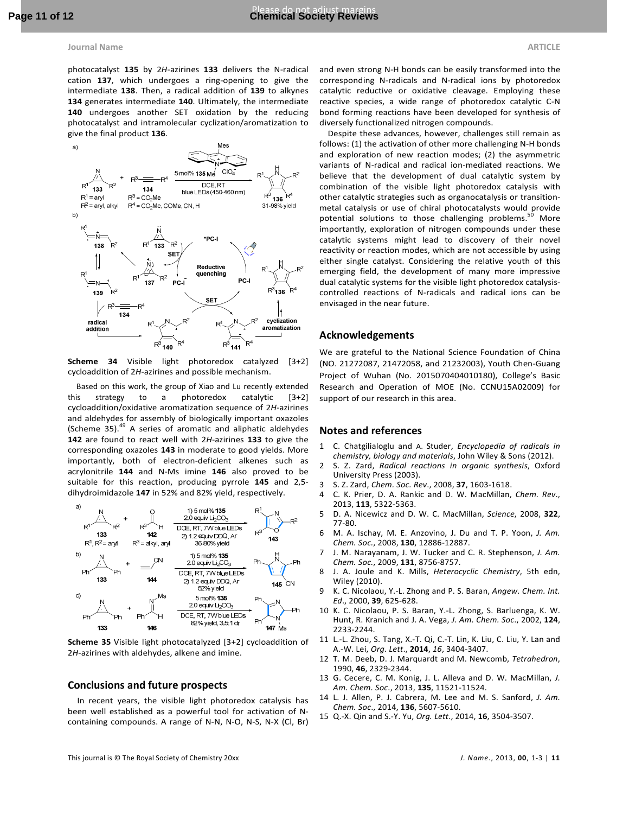photocatalyst **135** by 2*H*-azirines **133** delivers the N-radical cation **137**, which undergoes a ring-opening to give the intermediate **138**. Then, a radical addition of **139** to alkynes **134** generates intermediate **140**. Ultimately, the intermediate **140** undergoes another SET oxidation by the reducing photocatalyst and intramolecular cyclization/aromatization to give the final product **136**.



**Scheme 34** Visible light photoredox catalyzed [3+2] cycloaddition of 2*H*-azirines and possible mechanism.

Based on this work, the group of Xiao and Lu recently extended this strategy to a photoredox catalytic [3+2] cycloaddition/oxidative aromatization sequence of 2*H*-azirines and aldehydes for assembly of biologically important oxazoles (Scheme 35). $49$  A series of aromatic and aliphatic aldehydes **142** are found to react well with 2*H*-azirines **133** to give the corresponding oxazoles **143** in moderate to good yields. More importantly, both of electron-deficient alkenes such as acrylonitrile **144** and N-Ms imine **146** also proved to be suitable for this reaction, producing pyrrole **145** and 2,5 dihydroimidazole **147** in 52% and 82% yield, respectively.



**Scheme 35** Visible light photocatalyzed [3+2] cycloaddition of 2*H*-azirines with aldehydes, alkene and imine.

#### **Conclusions and future prospects**

In recent years, the visible light photoredox catalysis has been well established as a powerful tool for activation of Ncontaining compounds. A range of N-N, N-O, N-S, N-X (Cl, Br)

and even strong N-H bonds can be easily transformed into the corresponding N-radicals and N-radical ions by photoredox catalytic reductive or oxidative cleavage. Employing these reactive species, a wide range of photoredox catalytic C-N bond forming reactions have been developed for synthesis of diversely functionalized nitrogen compounds.

 Despite these advances, however, challenges still remain as follows: (1) the activation of other more challenging N-H bonds and exploration of new reaction modes; (2) the asymmetric variants of N-radical and radical ion-mediated reactions. We believe that the development of dual catalytic system by combination of the visible light photoredox catalysis with other catalytic strategies such as organocatalysis or transitionmetal catalysis or use of chiral photocatalysts would provide potential solutions to those challenging problems.<sup>50</sup> More importantly, exploration of nitrogen compounds under these catalytic systems might lead to discovery of their novel reactivity or reaction modes, which are not accessible by using either single catalyst. Considering the relative youth of this emerging field, the development of many more impressive dual catalytic systems for the visible light photoredox catalysiscontrolled reactions of N-radicals and radical ions can be envisaged in the near future.

#### **Acknowledgements**

We are grateful to the National Science Foundation of China (NO. 21272087, 21472058, and 21232003), Youth Chen-Guang Project of Wuhan (No. 2015070404010180), College's Basic Research and Operation of MOE (No. CCNU15A02009) for support of our research in this area.

#### **Notes and references**

- 1 C. Chatgilialoglu and A. Studer, *Encyclopedia of radicals in chemistry, biology and materials*, John Wiley & Sons (2012).
- 2 S. Z. Zard, *Radical reactions in organic synthesis*, Oxford University Press (2003).
- 3 S. Z. Zard, *Chem. Soc. Rev*., 2008, **37**, 1603-1618.
- 4 C. K. Prier, D. A. Rankic and D. W. MacMillan, *Chem. Rev*., 2013, **113**, 5322-5363.
- 5 D. A. Nicewicz and D. W. C. MacMillan, *Science*, 2008, **322**, 77-80.
- 6 M. A. Ischay, M. E. Anzovino, J. Du and T. P. Yoon, *J. Am. Chem. Soc.*, 2008, **130**, 12886-12887.
- 7 J. M. Narayanam, J. W. Tucker and C. R. Stephenson, *J. Am. Chem. Soc.*, 2009, **131**, 8756-8757.
- 8 J. A. Joule and K. Mills, *Heterocyclic Chemistry*, 5th edn, Wiley (2010).
- 9 K. C. Nicolaou, Y.-L. Zhong and P. S. Baran, *Angew. Chem. Int. Ed*., 2000, **39**, 625-628.
- 10 K. C. Nicolaou, P. S. Baran, Y.-L. Zhong, S. Barluenga, K. W. Hunt, R. Kranich and J. A. Vega, *J. Am. Chem. Soc*., 2002, **124**, 2233-2244.
- 11 L.-L. Zhou, S. Tang, X.-T. Qi, C.-T. Lin, K. Liu, C. Liu, Y. Lan and A.-W. Lei, *Org. Lett*., **2014**, *16*, 3404-3407.
- 12 T. M. Deeb, D. J. Marquardt and M. Newcomb, *Tetrahedron*, 1990, **46**, 2329-2344.
- 13 G. Cecere, C. M. Konig, J. L. Alleva and D. W. MacMillan, *J. Am. Chem. Soc*., 2013, **135**, 11521-11524.
- 14 L. J. Allen, P. J. Cabrera, M. Lee and M. S. Sanford, *J. Am. Chem. Soc*., 2014, **136**, 5607-5610.
- 15 Q.-X. Qin and S.-Y. Yu, *Org. Lett*., 2014, **16**, 3504-3507.